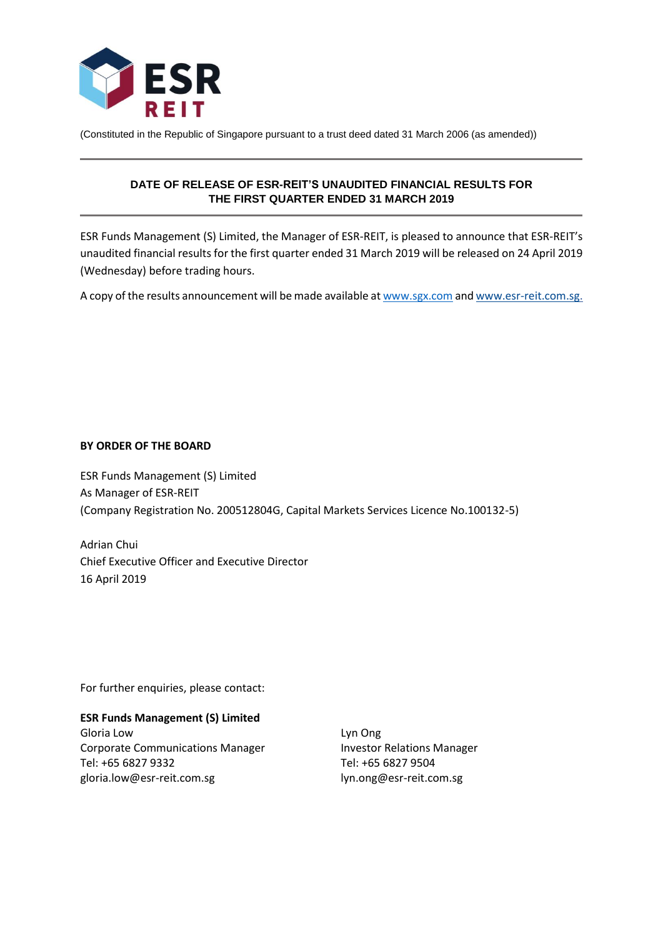

(Constituted in the Republic of Singapore pursuant to a trust deed dated 31 March 2006 (as amended))

# **DATE OF RELEASE OF ESR-REIT'S UNAUDITED FINANCIAL RESULTS FOR THE FIRST QUARTER ENDED 31 MARCH 2019**

ESR Funds Management (S) Limited, the Manager of ESR-REIT, is pleased to announce that ESR-REIT's unaudited financial results for the first quarter ended 31 March 2019 will be released on 24 April 2019 (Wednesday) before trading hours.

A copy of the results announcement will be made available a[t www.sgx.com](http://www.sgx.com/) an[d www.esr-reit.com.sg.](http://www.esr-reit.com.sg/)

## **BY ORDER OF THE BOARD**

ESR Funds Management (S) Limited As Manager of ESR-REIT (Company Registration No. 200512804G, Capital Markets Services Licence No.100132-5)

Adrian Chui Chief Executive Officer and Executive Director 16 April 2019

For further enquiries, please contact:

## **ESR Funds Management (S) Limited**

Gloria Low Corporate Communications Manager Tel: +65 6827 9332 gloria.low@esr-reit.com.sg

Lyn Ong Investor Relations Manager Tel: +65 6827 9504 lyn.ong@esr-reit.com.sg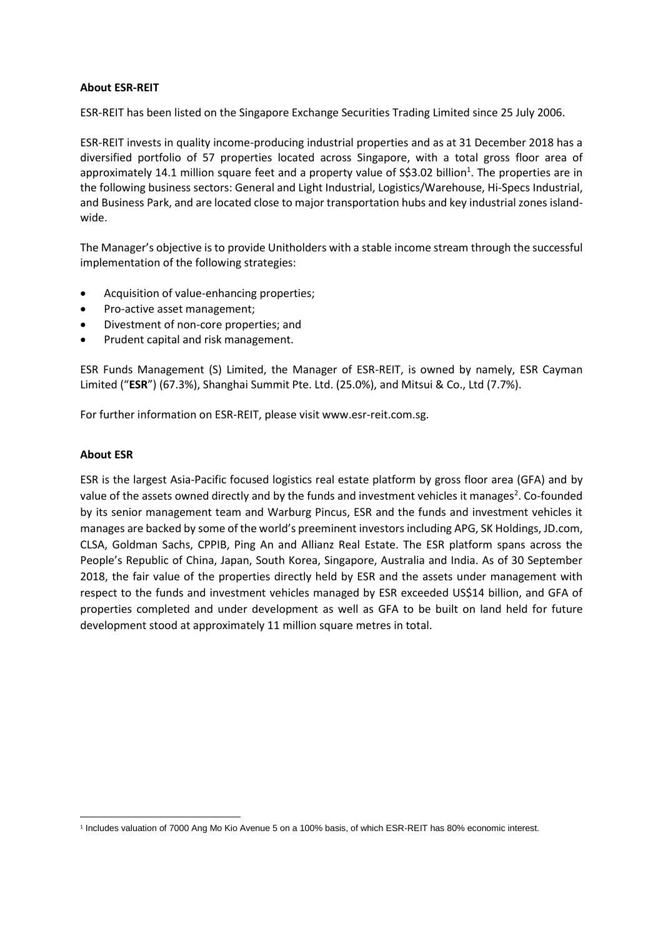## **About ESR-REIT**

ESR-REIT has been listed on the Singapore Exchange Securities Trading Limited since 25 July 2006.

ESR-REIT invests in quality income-producing industrial properties and as at 31 December 2018 has a diversified portfolio of 57 properties located across Singapore, with a total gross floor area of approximately 14.1 million square feet and a property value of S\$3.02 billion<sup>1</sup>. The properties are in the following business sectors: General and Light Industrial, Logistics/Warehouse, Hi-Specs Industrial, and Business Park, and are located close to major transportation hubs and key industrial zones islandwide.

The Manager's objective is to provide Unitholders with a stable income stream through the successful implementation of the following strategies:

- Acquisition of value-enhancing properties;
- Pro-active asset management;
- Divestment of non-core properties; and
- Prudent capital and risk management.

ESR Funds Management (S) Limited, the Manager of ESR-REIT, is owned by namely, ESR Cayman Limited ("**ESR**") (67.3%), Shanghai Summit Pte. Ltd. (25.0%), and Mitsui & Co., Ltd (7.7%).

For further information on ESR-REIT, please visit www.esr-reit.com.sg.

## **About ESR**

 $\overline{a}$ 

ESR is the largest Asia-Pacific focused logistics real estate platform by gross floor area (GFA) and by value of the assets owned directly and by the funds and investment vehicles it manages<sup>2</sup>. Co-founded by its senior management team and Warburg Pincus, ESR and the funds and investment vehicles it manages are backed by some of the world's preeminent investors including APG, SK Holdings, JD.com, CLSA, Goldman Sachs, CPPIB, Ping An and Allianz Real Estate. The ESR platform spans across the People's Republic of China, Japan, South Korea, Singapore, Australia and India. As of 30 September 2018, the fair value of the properties directly held by ESR and the assets under management with respect to the funds and investment vehicles managed by ESR exceeded US\$14 billion, and GFA of properties completed and under development as well as GFA to be built on land held for future development stood at approximately 11 million square metres in total.

<sup>&</sup>lt;sup>1</sup> Includes valuation of 7000 Ang Mo Kio Avenue 5 on a 100% basis, of which ESR-REIT has 80% economic interest.